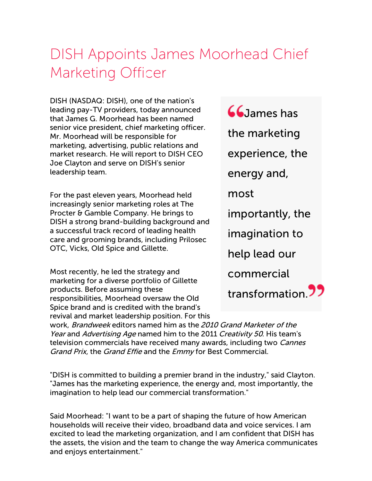## DISH Appoints James Moorhead Chief Marketing Officer

DISH (NASDAQ: DISH), one of the nation's leading pay-TV providers, today announced that James G. Moorhead has been named senior vice president, chief marketing officer. Mr. Moorhead will be responsible for marketing, advertising, public relations and market research. He will report to DISH CEO Joe Clayton and serve on DISH's senior leadership team.

For the past eleven years, Moorhead held increasingly senior marketing roles at The Procter & Gamble Company. He brings to DISH a strong brand-building background and a successful track record of leading health care and grooming brands, including Prilosec OTC, Vicks, Old Spice and Gillette.

Most recently, he led the strategy and marketing for a diverse portfolio of Gillette products. Before assuming these responsibilities, Moorhead oversaw the Old Spice brand and is credited with the brand's revival and market leadership position. For this **GG** James has the marketing experience, the energy and, most importantly, the imagination to help lead our commercial transformation<sup>99</sup>

work, Brandweek editors named him as the 2010 Grand Marketer of the Year and Advertising Age named him to the 2011 Creativity 50. His team's television commercials have received many awards, including two *Cannes* Grand Prix, the Grand Effie and the Emmy for Best Commercial.

"DISH is committed to building a premier brand in the industry," said Clayton. "James has the marketing experience, the energy and, most importantly, the imagination to help lead our commercial transformation."

Said Moorhead: "I want to be a part of shaping the future of how American households will receive their video, broadband data and voice services. I am excited to lead the marketing organization, and I am confident that DISH has the assets, the vision and the team to change the way America communicates and enjoys entertainment."